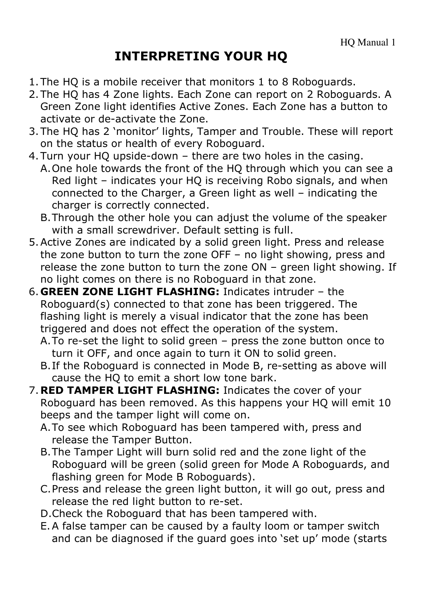# INTERPRETING YOUR HQ

- 1.The HQ is a mobile receiver that monitors 1 to 8 Roboguards.
- 2.The HQ has 4 Zone lights. Each Zone can report on 2 Roboguards. A Green Zone light identifies Active Zones. Each Zone has a button to activate or de-activate the Zone.
- 3.The HQ has 2 'monitor' lights, Tamper and Trouble. These will report on the status or health of every Roboguard.
- 4.Turn your HQ upside-down there are two holes in the casing.
	- A.One hole towards the front of the HQ through which you can see a Red light – indicates your HQ is receiving Robo signals, and when connected to the Charger, a Green light as well – indicating the charger is correctly connected.
	- B.Through the other hole you can adjust the volume of the speaker with a small screwdriver. Default setting is full.
- 5.Active Zones are indicated by a solid green light. Press and release the zone button to turn the zone OFF – no light showing, press and release the zone button to turn the zone ON – green light showing. If no light comes on there is no Roboguard in that zone.
- 6. GREEN ZONE LIGHT FLASHING: Indicates intruder the Roboguard(s) connected to that zone has been triggered. The flashing light is merely a visual indicator that the zone has been triggered and does not effect the operation of the system.
	- A.To re-set the light to solid green press the zone button once to turn it OFF, and once again to turn it ON to solid green.
	- B.If the Roboguard is connected in Mode B, re-setting as above will cause the HQ to emit a short low tone bark.
- 7. RED TAMPER LIGHT FLASHING: Indicates the cover of your Roboguard has been removed. As this happens your HQ will emit 10 beeps and the tamper light will come on.
	- A.To see which Roboguard has been tampered with, press and release the Tamper Button.
	- B.The Tamper Light will burn solid red and the zone light of the Roboguard will be green (solid green for Mode A Roboguards, and flashing green for Mode B Roboguards).
	- C.Press and release the green light button, it will go out, press and release the red light button to re-set.
	- D.Check the Roboguard that has been tampered with.
	- E.A false tamper can be caused by a faulty loom or tamper switch and can be diagnosed if the guard goes into 'set up' mode (starts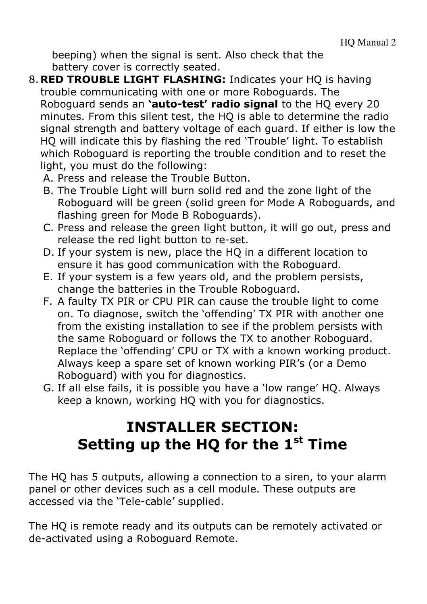beeping) when the signal is sent. Also check that the battery cover is correctly seated.

- 8. RED TROUBLE LIGHT FLASHING: Indicates your HQ is having trouble communicating with one or more Roboguards. The Roboguard sends an 'auto-test' radio signal to the HQ every 20 minutes. From this silent test, the HQ is able to determine the radio signal strength and battery voltage of each guard. If either is low the HQ will indicate this by flashing the red 'Trouble' light. To establish which Roboguard is reporting the trouble condition and to reset the light, you must do the following:
	- A. Press and release the Trouble Button.
	- B. The Trouble Light will burn solid red and the zone light of the Roboguard will be green (solid green for Mode A Roboguards, and flashing green for Mode B Roboguards).
	- C. Press and release the green light button, it will go out, press and release the red light button to re-set.
	- D. If your system is new, place the HQ in a different location to ensure it has good communication with the Roboguard.
	- E. If your system is a few years old, and the problem persists, change the batteries in the Trouble Roboguard.
	- F. A faulty TX PIR or CPU PIR can cause the trouble light to come on. To diagnose, switch the 'offending' TX PIR with another one from the existing installation to see if the problem persists with the same Roboguard or follows the TX to another Roboguard. Replace the 'offending' CPU or TX with a known working product. Always keep a spare set of known working PIR's (or a Demo Roboguard) with you for diagnostics.
	- G. If all else fails, it is possible you have a 'low range' HQ. Always keep a known, working HQ with you for diagnostics.

# INSTALLER SECTION: Setting up the HQ for the  $1<sup>st</sup>$  Time

The HQ has 5 outputs, allowing a connection to a siren, to your alarm panel or other devices such as a cell module. These outputs are accessed via the 'Tele-cable' supplied.

The HQ is remote ready and its outputs can be remotely activated or de-activated using a Roboguard Remote.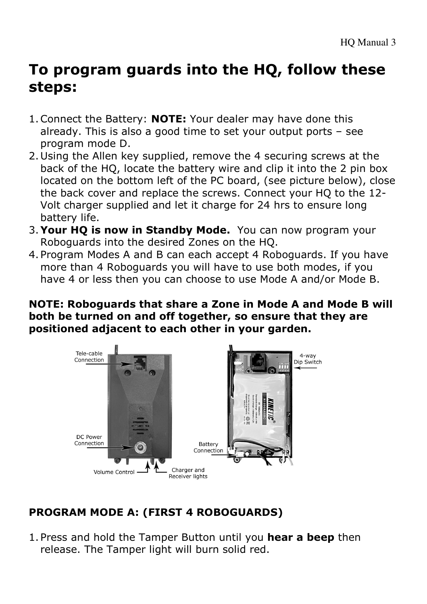# To program guards into the HQ, follow these steps:

- 1. Connect the Battery: **NOTE:** Your dealer may have done this already. This is also a good time to set your output ports – see program mode D.
- 2.Using the Allen key supplied, remove the 4 securing screws at the back of the HQ, locate the battery wire and clip it into the 2 pin box located on the bottom left of the PC board, (see picture below), close the back cover and replace the screws. Connect your HQ to the 12- Volt charger supplied and let it charge for 24 hrs to ensure long battery life.
- 3.Your HQ is now in Standby Mode. You can now program your Roboguards into the desired Zones on the HQ.
- 4.Program Modes A and B can each accept 4 Roboguards. If you have more than 4 Roboguards you will have to use both modes, if you have 4 or less then you can choose to use Mode A and/or Mode B.

NOTE: Roboguards that share a Zone in Mode A and Mode B will both be turned on and off together, so ensure that they are positioned adjacent to each other in your garden.



## PROGRAM MODE A: (FIRST 4 ROBOGUARDS)

1. Press and hold the Tamper Button until you hear a beep then release. The Tamper light will burn solid red.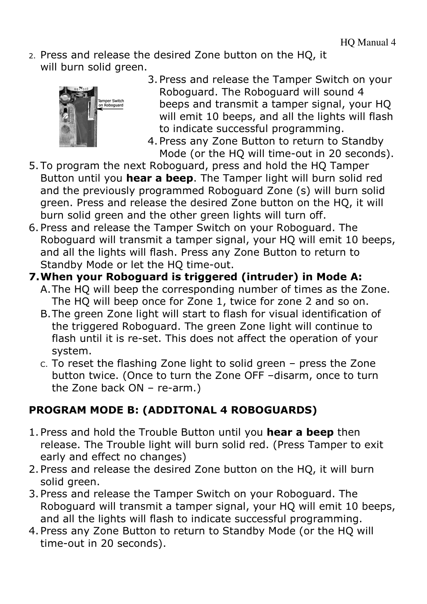2. Press and release the desired Zone button on the HQ, it will burn solid areen.



- 3.Press and release the Tamper Switch on your Roboguard. The Roboguard will sound 4 beeps and transmit a tamper signal, your HQ will emit 10 beeps, and all the lights will flash to indicate successful programming.
- 4.Press any Zone Button to return to Standby Mode (or the HQ will time-out in 20 seconds).
- 5.To program the next Roboguard, press and hold the HQ Tamper Button until you hear a beep. The Tamper light will burn solid red and the previously programmed Roboguard Zone (s) will burn solid green. Press and release the desired Zone button on the HQ, it will burn solid green and the other green lights will turn off.
- 6.Press and release the Tamper Switch on your Roboguard. The Roboguard will transmit a tamper signal, your HQ will emit 10 beeps, and all the lights will flash. Press any Zone Button to return to Standby Mode or let the HQ time-out.
- 7.When your Roboguard is triggered (intruder) in Mode A:
	- A.The HQ will beep the corresponding number of times as the Zone. The HQ will beep once for Zone 1, twice for zone 2 and so on.
	- B.The green Zone light will start to flash for visual identification of the triggered Roboguard. The green Zone light will continue to flash until it is re-set. This does not affect the operation of your system.
	- C. To reset the flashing Zone light to solid green press the Zone button twice. (Once to turn the Zone OFF –disarm, once to turn the Zone back ON – re-arm.)

## PROGRAM MODE B: (ADDITONAL 4 ROBOGUARDS)

- 1. Press and hold the Trouble Button until you hear a beep then release. The Trouble light will burn solid red. (Press Tamper to exit early and effect no changes)
- 2.Press and release the desired Zone button on the HQ, it will burn solid green.
- 3.Press and release the Tamper Switch on your Roboguard. The Roboguard will transmit a tamper signal, your HQ will emit 10 beeps, and all the lights will flash to indicate successful programming.
- 4.Press any Zone Button to return to Standby Mode (or the HQ will time-out in 20 seconds).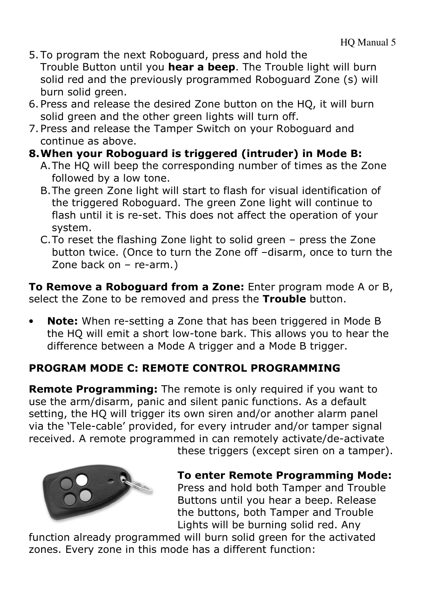- 5.To program the next Roboguard, press and hold the Trouble Button until you hear a beep. The Trouble light will burn solid red and the previously programmed Roboguard Zone (s) will burn solid green.
- 6.Press and release the desired Zone button on the HQ, it will burn solid green and the other green lights will turn off.
- 7.Press and release the Tamper Switch on your Roboguard and continue as above.

### 8.When your Roboguard is triggered (intruder) in Mode B:

- A.The HQ will beep the corresponding number of times as the Zone followed by a low tone.
- B.The green Zone light will start to flash for visual identification of the triggered Roboguard. The green Zone light will continue to flash until it is re-set. This does not affect the operation of your system.
- C.To reset the flashing Zone light to solid green press the Zone button twice. (Once to turn the Zone off –disarm, once to turn the Zone back on – re-arm.)

To Remove a Roboguard from a Zone: Enter program mode A or B, select the Zone to be removed and press the Trouble button.

Note: When re-setting a Zone that has been triggered in Mode B the HQ will emit a short low-tone bark. This allows you to hear the difference between a Mode A trigger and a Mode B trigger.

## PROGRAM MODE C: REMOTE CONTROL PROGRAMMING

Remote Programming: The remote is only required if you want to use the arm/disarm, panic and silent panic functions. As a default setting, the HQ will trigger its own siren and/or another alarm panel via the 'Tele-cable' provided, for every intruder and/or tamper signal received. A remote programmed in can remotely activate/de-activate these triggers (except siren on a tamper).



To enter Remote Programming Mode: Press and hold both Tamper and Trouble Buttons until you hear a beep. Release the buttons, both Tamper and Trouble Lights will be burning solid red. Any

function already programmed will burn solid green for the activated zones. Every zone in this mode has a different function: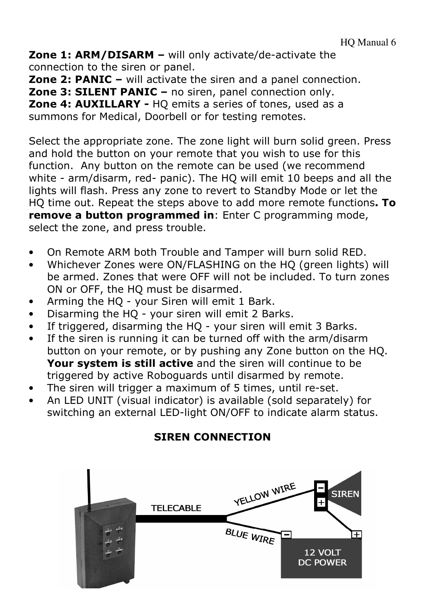Zone 1: ARM/DISARM – will only activate/de-activate the connection to the siren or panel.

Zone 2: PANIC – will activate the siren and a panel connection. Zone 3: SILENT PANIC – no siren, panel connection only. Zone 4: AUXILLARY - HQ emits a series of tones, used as a summons for Medical, Doorbell or for testing remotes.

Select the appropriate zone. The zone light will burn solid green. Press and hold the button on your remote that you wish to use for this function. Any button on the remote can be used (we recommend white - arm/disarm, red- panic). The HQ will emit 10 beeps and all the lights will flash. Press any zone to revert to Standby Mode or let the HO time out. Repeat the steps above to add more remote functions. To remove a button programmed in: Enter C programming mode, select the zone, and press trouble.

- On Remote ARM both Trouble and Tamper will burn solid RED.
- Whichever Zones were ON/FLASHING on the HQ (green lights) will be armed. Zones that were OFF will not be included. To turn zones ON or OFF, the HQ must be disarmed.
- Arming the HQ your Siren will emit 1 Bark.
- Disarming the HQ your siren will emit 2 Barks.
- If triggered, disarming the HQ your siren will emit 3 Barks.
- If the siren is running it can be turned off with the arm/disarm button on your remote, or by pushing any Zone button on the HQ. Your system is still active and the siren will continue to be triggered by active Roboguards until disarmed by remote.
- The siren will trigger a maximum of 5 times, until re-set.
- An LED UNIT (visual indicator) is available (sold separately) for switching an external LED-light ON/OFF to indicate alarm status.

## SIREN CONNECTION

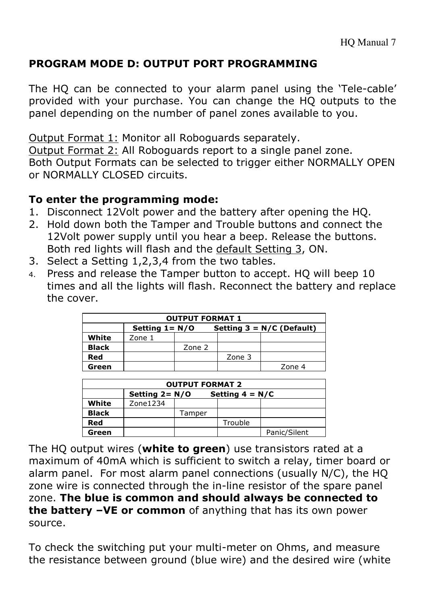### PROGRAM MODE D: OUTPUT PORT PROGRAMMING

The HQ can be connected to your alarm panel using the 'Tele-cable' provided with your purchase. You can change the HQ outputs to the panel depending on the number of panel zones available to you.

Output Format 1: Monitor all Roboguards separately. Output Format 2: All Roboguards report to a single panel zone. Both Output Formats can be selected to trigger either NORMALLY OPEN or NORMALLY CLOSED circuits.

### To enter the programming mode:

- 1. Disconnect 12Volt power and the battery after opening the HQ.
- 2. Hold down both the Tamper and Trouble buttons and connect the 12Volt power supply until you hear a beep. Release the buttons. Both red lights will flash and the default Setting 3, ON.
- 3. Select a Setting 1,2,3,4 from the two tables.
- 4. Press and release the Tamper button to accept. HQ will beep 10 times and all the lights will flash. Reconnect the battery and replace the cover.

| <b>OUTPUT FORMAT 1</b> |                   |        |                             |        |  |  |  |
|------------------------|-------------------|--------|-----------------------------|--------|--|--|--|
|                        | Setting $1 = N/O$ |        | Setting $3 = N/C$ (Default) |        |  |  |  |
| White                  | Zone 1            |        |                             |        |  |  |  |
| <b>Black</b>           |                   | Zone 2 |                             |        |  |  |  |
| Red                    |                   |        | Zone 3                      |        |  |  |  |
| Green                  |                   |        |                             | Zone 4 |  |  |  |

| <b>OUTPUT FORMAT 2</b> |                                        |        |         |              |  |  |  |
|------------------------|----------------------------------------|--------|---------|--------------|--|--|--|
|                        | Setting $2 = N/O$<br>Setting $4 = N/C$ |        |         |              |  |  |  |
| White                  | Zone1234                               |        |         |              |  |  |  |
| <b>Black</b>           |                                        | Tamper |         |              |  |  |  |
| Red                    |                                        |        | Trouble |              |  |  |  |
| Green                  |                                        |        |         | Panic/Silent |  |  |  |

The HQ output wires (white to green) use transistors rated at a maximum of 40mA which is sufficient to switch a relay, timer board or alarm panel. For most alarm panel connections (usually N/C), the HQ zone wire is connected through the in-line resistor of the spare panel zone. The blue is common and should always be connected to the battery -VE or common of anything that has its own power source.

To check the switching put your multi-meter on Ohms, and measure the resistance between ground (blue wire) and the desired wire (white